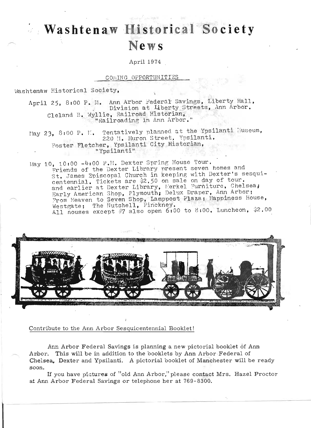## Washtenaw Historical Society **News**

April 1974

## COMING OPPORTUNITIES

Washtenaw Historical Society,

April 25, 8:00 P. M. Ann Arbor Federal Savings, Liberty Hall, Division at Liberty Streets, Ann Arbor. Cleland B. Wyllie, Railroad Historian, "Railroading in Ann Arbor.

May 23, 8:00 P. M. Tentatively planned at the Ypsilanti Museum, 220 N. Huron Street, Ypsilanti. Foster Fletcher, Ypsilanti City Historian, "Ypsilanti"

May 10, 10:00 -4:00 P.M. Dexter Spring House Tour. Friends of the Dexter Library present seven homes and St. James Episcopal Church in keeping with Dexter's sesquicentennial. Tickets are \$2.50 on sale on day of tour. and earlier at Dexter Library, Merkel Furniture, Chelsea, Early American Shop, Plymouth; Delux Draper, Ann Arbor; From Heaven to Seven Shop, Lamppost Plaza; Happiness House, Westgate; The Nutshell, Pinckney. All nouses except #7 also open 6:00 to 8:00. Luncheon, \$2.00



## Contribute to the Ann Arbor Sesquicentennial Booklet!

Ann Arbor Federal Savings is planning a new pictorial booklet of Ann Arbor. This will be in addition to the booklets by Ann Arbor Federal of Chelsea. Dexter and Ypsilanti. A pictorial booklet of Manchester will be ready soon.

If you have pictures of "old Ann Arbor," please contact Mrs. Hazel Proctor at Ann Arbor Federal Savings or telephone her at 769-8300.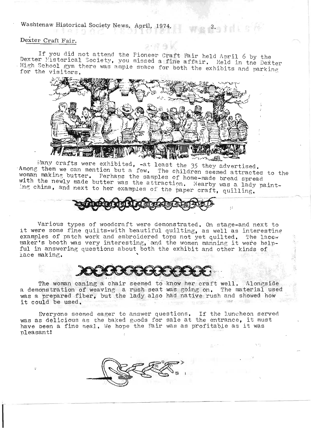Washtenaw Historical Society News, April, 1974. 2.

## Dexter Craft Fair.

 $f$  you did not attend the Pioneer Craft Fair held April 6 by the If you did not attend the Pioneer Craft Fair held April 6 by the<br>exter Historical Society, you missed a fine affair. Held in the Deitry High School gym there was ample space for both the exhibits and parking.



. a 7 mea. A way the SWA Way of the 35 they advertised. Among them we can mention but a few. The children seemed attracted to the woman making butter. Perhaps the samples of home-made bread spread which the newly made butter was the samples of home-made bread spread<br>ith the newly made butter was the attraction. Nearby was a lady paint-<br>ng china, and next to her examples of the paper exact , quilling

 $\frac{1}{2}$   $\frac{1}{2}$ 



Various types of woodcraft were demonstrated. On stage-and next to it were some fine quilts-with beautiful quilting, as well as interesting r were some iine quilts-with beautliul quilting, as well as interesting.<br>Xamples of patch work and embroidered tops not yet quilted. The lacexamples of patch work and embroidered tops not yet quilted. The lace-<br>aker's booth was very interesting, and the women manning it were helpful in answering questions about both the exhibit and other kinds of examples of patch work and embroidered tops not yet quilted. The lace-<br>maker's booth was very interesting, and the women manning it were help-<br>ful in answering questions about both the exhibit and other kinds of<br>lace makin

he woman caning a chair seemed to know her craft well. Alongside a demonstration of weaving a rush seat was going on. The material used demonstration of weaving a rush seat was going on, The material used<br>as a prepared fiber, but the lady also had native rush and showed how it could be used. eemed to know her craft well. Alongside<br>ush seat was going on. The material used

Everyone seemed eager to answer questions. If the luncheon served Everyone seemed eager to answer questions. If the Luncheon served<br>as as delicious as the baked goods for sale at the entrance, it must was as delicious as the baked goods for sale at the entrance, it must<br>have been a fine meal. We hope the Fair was as profitable as it was pleasant!

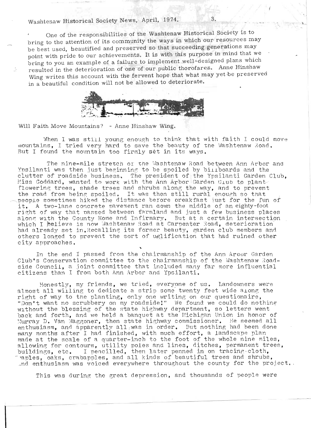One of the responsibilities of the Washtenaw Historical Society is to One of the responsibilities of the washield in union can be courses may be best used, here is used, here we have no present and present in present that succeeding  $\frac{1}{2}$  are the succeeding generations may be best used, heautified and preserved so that succeeding generations may point with pride to our achievements. It is with this purpose in mind that we bring to you an example of a failure to implement well-designed plans which resulted in the deterioration of one of our public thorofares. Anne Hinshaw  $\mathbf{E}$  which is deterioration of one of our public increditions. All the interved  $\mathbf{E}$ ing writes this account with the fervent hope that what may



Will Faith Move Mountains? - Anne Hinshaw Wing.

In the control of the control of the control of the control of the control of the control of the control of the control of the control of the control of the control of the control of the control of the control of the contr

 $\frac{1}{\sqrt{1-\frac{1}{n}}}\frac{1}{\sqrt{1-\frac{1}{n}}}\frac{1}{\sqrt{1-\frac{1}{n}}}\frac{1}{\sqrt{1-\frac{1}{n}}}\frac{1}{\sqrt{1-\frac{1}{n}}}\frac{1}{\sqrt{1-\frac{1}{n}}}\frac{1}{\sqrt{1-\frac{1}{n}}}\frac{1}{\sqrt{1-\frac{1}{n}}}\frac{1}{\sqrt{1-\frac{1}{n}}}\frac{1}{\sqrt{1-\frac{1}{n}}}\frac{1}{\sqrt{1-\frac{1}{n}}}\frac{1}{\sqrt{1-\frac{1}{n}}}\frac{1}{\sqrt{1-\frac{1}{n}}}\frac{1}{\sqrt{1-\frac{$ When I was still young enough to think that with faith I could mo buntains, I tried very hard to save the beauty of the

The nine-mile stretch 01' the ~.lashte naw Road between Ann Arbor and The nine-mile stretch or the Washtenaw Road between Ann Arbor a<br>coilerti was then just beginning to be spoiled by billered word the Ypsilanti was then just beginning to be spoiled by billboards and the clutter of roadside business. The president of the Ypsilanti Garden Club, Miss Goddard, wanted to work with the Ann Arbor Garden Club to plantflowering trees, shade trees and shrubs along the way, and to prevent the road from being spoiled. It was then still rural enough so that people sometimes hiked the distance before breakfast just for the fun of it. A two-lane concrete pavement ran down the middle of an eighty-foot right of way that passed between farmland and just a few business places along with the County Home and Infirmary. But at a certain intersection which I helieve is now Washtenaw Road at Carpenter Road, deterioration had already set in. Recalling its former beauty, garden club members and others longed to prevent the sort of uglification that had ruined other city approaches.

In the end I passed from the chairmanship of the Ann Aroor Garden In the end I passed from the chairmanship of the Ann Arpor Garden<br>I:\\!a Geneenveties committee to the sheirmanshin of the Westtenaw Bead Club's Conservation committee to the chairmanship of the Washtenaw Roadside Council, a joint committee that included many far more influential<br>citizens than I from both Ann Arbor and Ypsilanti.

:Honestly, my friends, we tried , every.one of us. Landowners were Honestly, my friends, we tried, everyone of us. Landowners were almost all willing to dedicate a strip some twenty feet wide along the right of way to the planting, only one writing on our questionaire, "Don't want no scrubbery on my roadside!" We found we could do nothing without the blessing of the state highway department, so letters went back and forth, and we held a banquet at the Michigan Union in honor of Murray D. Van Maggoner, then state highway commissioner. He seemed all enthusiasm, and apparently all was in order. But nothing had been done my months after I had finished, with much effort, a landscape plan<br>belo at the scale of a supprimary inch to the foot of the whole nine miles and at the scale of a quarter-inch to the foot of the whole nine miles,  $\frac{1}{2}$ but in the contours, utility poles and lines, ditches, permanent tree ildings, etc. I pencilled, then later penned in on tracing cloth, nles, oaks, crabapples, and all kinds of beautiful trees and shrubs,<br>denthusiasm on project communicate throughout the county for the project

This was during the great depression, and thousands of people were

"t> .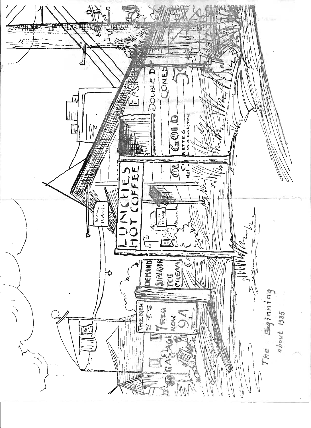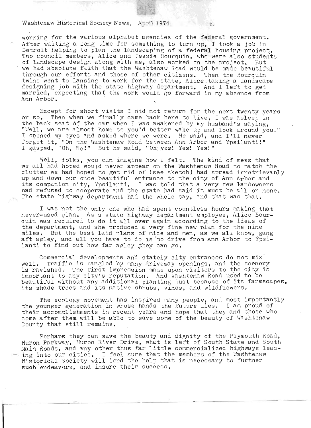Washtenaw Historical Society News, April 1974 5.

working for the various alphabet agencies of the federal government. After waiting a long time for something to turn up, I took a job in Detroit helping to plan the landscaping of a federal housing project. Two council members. Alice and Jessie Bourquin, who were also students of landscape design along with me, also worked on the project. But we had absolute faith that the Washtenaw Road would be made beautiful through our efforts and those of other citizens. Then the Bourquin through our efforts and those of other citizens. Then the Bourquin<br>twins went to Lansing to work for the state, Alice taking a landscape<br>lesigning job with the state highway department. And I left to get<br>parried, expecting designing job with the state highway department. And I left to get married, expecting that the work would go forward in my absence from

Except for short visits I aid not return for the next twenty years or so. Then when we finally came back here to 1ive,I was asleep in the back seat of the car when I was awakened by my husband's saying, "Well, we are almost home so you'd better wake up and look around you." I opened my eyes and asked where we were. He said, and I'll never forget it, "On the Washtenaw Road between Ann Arbor and Ypsilanti!" I gasped, "Oh, No!" But he said, "Oh yes! Yes! Yes!"

Well, folks, you can imagine how I felt. The kind of mess that we all had hoped would never appear on the Washtenaw Road to match the clutter we had hoped to get rid" of (see sketch) had spread irretrievably up and down our once beautiful entrance to the city of Ann Arbor and its companion city, Ypsilanti. I was told that a very rew landowners had refused to cooperate and the state had said it must be all or none. The state highway department had the whole say, and that was that.

I was not the only one who had spent countless hours making that never-used plan. As a state highway department employee, Alice Bourquin was required to do it all over again according to the ideas of , the department, and she produced a very fine new plan for the nine miles. But the best laid plans of mice and men, as we all know, gang aft agley, and all you have to do is to drive from Ann Arbor to Ypsilanti to find out how far agley they can go.

Commercial developments and stately city entrances do not mix well. Traffic is tangled by many driveway openings, and the scenery is ravished. The first impression made upon visitors to the city is important to any city's reputation. And Washtenaw Road used to be . beautiful without any additional planting ;<br>beautiful without any additional planting ;just because of its farmscapes, its shade trees and its native shrubs, vines, and wildflowers.

The ecology movement has inspired many people, and most importantly the younger generation in whose hands the future lies. I am proud of their accomplishments in recent years and hope that they and those who come after them will be able to save some of'the beauty of Washtenaw County that still remains.

Perhaps they can save the beauty and dignity of the Plymouth Road, Huron Parkway, Huron River Drive, what is left of South State and South iuron Parkway, Huron River Drive, what is left of South State and South<br>Wain Roads, and any other thus far little commercialized highways leadain Roads, and any other thus far little commercialized highways lea<br>ng into our cities. I feel sure that the members of the Washtenaw ing into our cities. I feel sure that the members of the Washtenaw<br>Historical Society will lend the help that is necessary to further such endeavors, and insure their success.